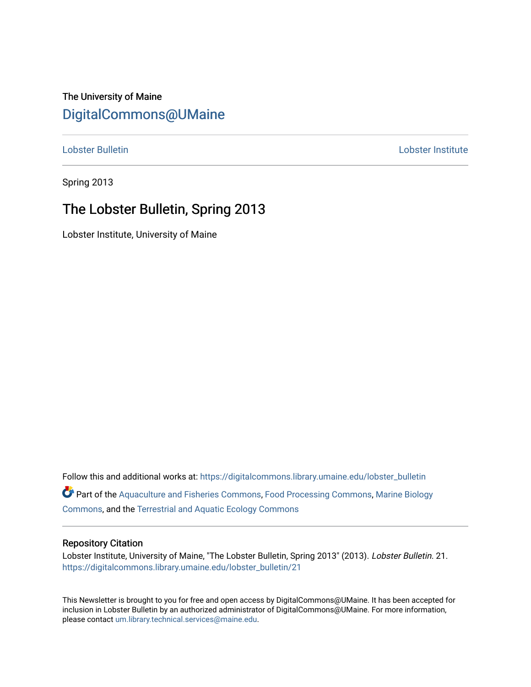## The University of Maine [DigitalCommons@UMaine](https://digitalcommons.library.umaine.edu/)

[Lobster Bulletin](https://digitalcommons.library.umaine.edu/lobster_bulletin) [Lobster Institute](https://digitalcommons.library.umaine.edu/lobster) 

Spring 2013

## The Lobster Bulletin, Spring 2013

Lobster Institute, University of Maine

Follow this and additional works at: [https://digitalcommons.library.umaine.edu/lobster\\_bulletin](https://digitalcommons.library.umaine.edu/lobster_bulletin?utm_source=digitalcommons.library.umaine.edu%2Flobster_bulletin%2F21&utm_medium=PDF&utm_campaign=PDFCoverPages) Part of the [Aquaculture and Fisheries Commons](http://network.bepress.com/hgg/discipline/78?utm_source=digitalcommons.library.umaine.edu%2Flobster_bulletin%2F21&utm_medium=PDF&utm_campaign=PDFCoverPages), [Food Processing Commons,](http://network.bepress.com/hgg/discipline/85?utm_source=digitalcommons.library.umaine.edu%2Flobster_bulletin%2F21&utm_medium=PDF&utm_campaign=PDFCoverPages) [Marine Biology](http://network.bepress.com/hgg/discipline/1126?utm_source=digitalcommons.library.umaine.edu%2Flobster_bulletin%2F21&utm_medium=PDF&utm_campaign=PDFCoverPages) [Commons](http://network.bepress.com/hgg/discipline/1126?utm_source=digitalcommons.library.umaine.edu%2Flobster_bulletin%2F21&utm_medium=PDF&utm_campaign=PDFCoverPages), and the [Terrestrial and Aquatic Ecology Commons](http://network.bepress.com/hgg/discipline/20?utm_source=digitalcommons.library.umaine.edu%2Flobster_bulletin%2F21&utm_medium=PDF&utm_campaign=PDFCoverPages) 

#### Repository Citation

Lobster Institute, University of Maine, "The Lobster Bulletin, Spring 2013" (2013). Lobster Bulletin. 21. [https://digitalcommons.library.umaine.edu/lobster\\_bulletin/21](https://digitalcommons.library.umaine.edu/lobster_bulletin/21?utm_source=digitalcommons.library.umaine.edu%2Flobster_bulletin%2F21&utm_medium=PDF&utm_campaign=PDFCoverPages) 

This Newsletter is brought to you for free and open access by DigitalCommons@UMaine. It has been accepted for inclusion in Lobster Bulletin by an authorized administrator of DigitalCommons@UMaine. For more information, please contact [um.library.technical.services@maine.edu.](mailto:um.library.technical.services@maine.edu)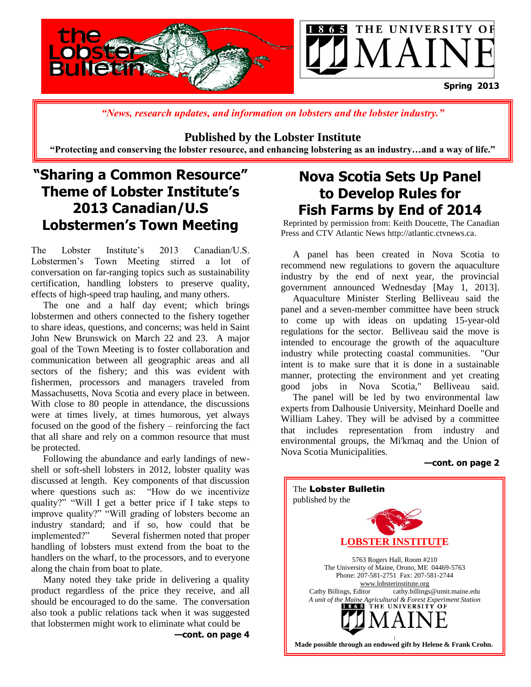

*"News, research updates, and information on lobsters and the lobster industry."*

#### **Published by the Lobster Institute**

**"Protecting and conserving the lobster resource, and enhancing lobstering as an industry…and a way of life."**

## **"Sharing a Common Resource" Theme of Lobster Institute's 2013 Canadian/U.S Lobstermen's Town Meeting**

The Lobster Institute's 2013 Canadian/U.S. Lobstermen's Town Meeting stirred a lot of conversation on far-ranging topics such as sustainability certification, handling lobsters to preserve quality, effects of high-speed trap hauling, and many others.

 The one and a half day event; which brings lobstermen and others connected to the fishery together to share ideas, questions, and concerns; was held in Saint John New Brunswick on March 22 and 23. A major goal of the Town Meeting is to foster collaboration and communication between all geographic areas and all sectors of the fishery; and this was evident with fishermen, processors and managers traveled from Massachusetts, Nova Scotia and every place in between. With close to 80 people in attendance, the discussions were at times lively, at times humorous, yet always focused on the good of the fishery – reinforcing the fact that all share and rely on a common resource that must be protected.

 Following the abundance and early landings of newshell or soft-shell lobsters in 2012, lobster quality was discussed at length. Key components of that discussion where questions such as: "How do we incentivize quality?" "Will I get a better price if I take steps to improve quality?" "Will grading of lobsters become an industry standard; and if so, how could that be implemented?" Several fishermen noted that proper handling of lobsters must extend from the boat to the handlers on the wharf, to the processors, and to everyone along the chain from boat to plate.

 Many noted they take pride in delivering a quality product regardless of the price they receive, and all should be encouraged to do the same. The conversation also took a public relations tack when it was suggested that lobstermen might work to eliminate what could be

**—cont. on page 4**

## **Nova Scotia Sets Up Panel to Develop Rules for Fish Farms by End of 2014**

Reprinted by permission from: Keith Doucette, The Canadian Press and CTV Atlantic News http://atlantic.ctvnews.ca.

 A panel has been created in Nova Scotia to recommend new regulations to govern the aquaculture industry by the end of next year, the provincial government announced Wednesday [May 1, 2013].

 Aquaculture Minister Sterling Belliveau said the panel and a seven-member committee have been struck to come up with ideas on updating 15-year-old regulations for the sector. Belliveau said the move is intended to encourage the growth of the aquaculture industry while protecting coastal communities. "Our intent is to make sure that it is done in a sustainable manner, protecting the environment and yet creating good jobs in Nova Scotia," Belliveau said.

 The panel will be led by two environmental law experts from Dalhousie University, Meinhard Doelle and William Lahey. They will be advised by a committee that includes representation from industry and environmental groups, the Mi'kmaq and the Union of Nova Scotia Municipalities.

#### **—cont. on page 2**

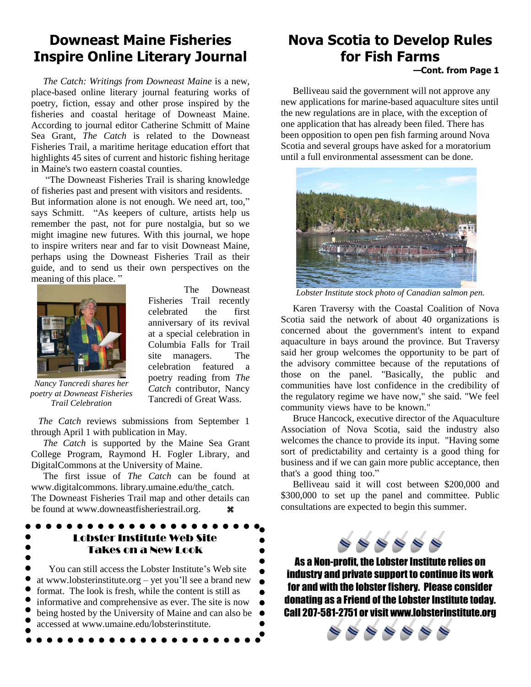## **Downeast Maine Fisheries Inspire Online Literary Journal**

 *The Catch: Writings from Downeast Maine* is a new, place-based online literary journal featuring works of poetry, fiction, essay and other prose inspired by the fisheries and coastal heritage of Downeast Maine. According to journal editor Catherine Schmitt of Maine Sea Grant, *The Catch* is related to the Downeast Fisheries Trail, a maritime heritage education effort that highlights 45 sites of current and historic fishing heritage in Maine's two eastern coastal counties.

 "The Downeast Fisheries Trail is sharing knowledge of fisheries past and present with visitors and residents. But information alone is not enough. We need art, too," says Schmitt. "As keepers of culture, artists help us remember the past, not for pure nostalgia, but so we might imagine new futures. With this journal, we hope to inspire writers near and far to visit Downeast Maine, perhaps using the Downeast Fisheries Trail as their guide, and to send us their own perspectives on the meaning of this place. "



 The Downeast Fisheries Trail recently celebrated the first anniversary of its revival at a special celebration in Columbia Falls for Trail site managers. The celebration featured a poetry reading from *The Catch* contributor, Nancy Tancredi of Great Wass.

*Nancy Tancredi shares her poetry at Downeast Fisheries Trail Celebration*

 *The Catch* reviews submissions from September 1 through April 1 with publication in May.

 *The Catch* is supported by the Maine Sea Grant College Program, Raymond H. Fogler Library, and DigitalCommons at the University of Maine.

 The first issue of *The Catch* can be found at www.digitalcommons. library.umaine.edu/the\_catch. The Downeast Fisheries Trail map and other details can be found at www.downeastfisheriestrail.org.  $\bullet \bullet$ 

### Lobster Institute Web Site Takes on a New Look

 You can still access the Lobster Institute's Web site at www.lobsterinstitute.org – yet you'll see a brand new format. The look is fresh, while the content is still as informative and comprehensive as ever. The site is now being hosted by the University of Maine and can also be accessed at www.umaine.edu/lobsterinstitute.

## **Nova Scotia to Develop Rules for Fish Farms**

#### **—Cont. from Page 1**

 Belliveau said the government will not approve any new applications for marine-based aquaculture sites until the new regulations are in place, with the exception of one application that has already been filed. There has been opposition to open pen fish farming around Nova Scotia and several groups have asked for a moratorium until a full environmental assessment can be done.



*Lobster Institute stock photo of Canadian salmon pen.*

 Karen Traversy with the Coastal Coalition of Nova Scotia said the network of about 40 organizations is concerned about the government's intent to expand aquaculture in bays around the province. But Traversy said her group welcomes the opportunity to be part of the advisory committee because of the reputations of those on the panel. "Basically, the public and communities have lost confidence in the credibility of the regulatory regime we have now," she said. "We feel community views have to be known." "

 Bruce Hancock, executive director of the Aquaculture Association of Nova Scotia, said the industry also welcomes the chance to provide its input. "Having some sort of predictability and certainty is a good thing for business and if we can gain more public acceptance, then that's a good thing too."

 Belliveau said it will cost between \$200,000 and \$300,000 to set up the panel and committee. Public consultations are expected to begin this summer.



As a Non-profit, the Lobster Institute relies on industry and private support to continue its work for and with the lobster fishery. Please consider donating as a Friend of the Lobster Institute today. Call 207-581-2751 or visit www.lobsterinstitute.org

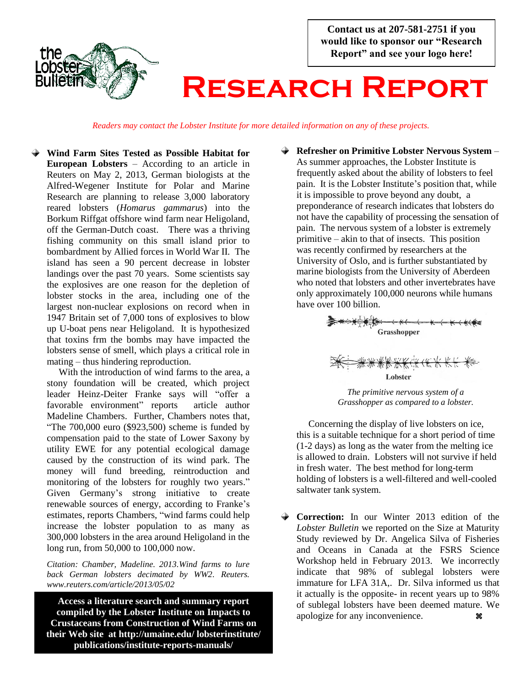**Contact us at 207-581-2751 if you would like to sponsor our "Research Report" and see your logo here!**



# **Research Report**

*Readers may contact the Lobster Institute for more detailed information on any of these projects.*

**Wind Farm Sites Tested as Possible Habitat for European Lobsters** – According to an article in Reuters on May 2, 2013, German biologists at the Alfred-Wegener Institute for Polar and Marine Research are planning to release 3,000 laboratory reared lobsters (*Homarus gammarus*) into the Borkum Riffgat offshore wind farm near Heligoland, off the German-Dutch coast. There was a thriving fishing community on this small island prior to bombardment by Allied forces in World War II. The island has seen a 90 percent decrease in lobster landings over the past 70 years. Some scientists say the explosives are one reason for the depletion of lobster stocks in the area, including one of the largest non-nuclear explosions on record when in 1947 Britain set of 7,000 tons of explosives to blow up U-boat pens near Heligoland. It is hypothesized that toxins frm the bombs may have impacted the lobsters sense of smell, which plays a critical role in mating – thus hindering reproduction.

With the introduction of wind farms to the area, a stony foundation will be created, which project leader Heinz-Deiter Franke says will "offer a favorable environment" reports article author Madeline Chambers. Further, Chambers notes that, "The 700,000 euro (\$923,500) scheme is funded by compensation paid to the state of Lower Saxony by utility EWE for any potential ecological damage caused by the construction of its wind park. The money will fund breeding, reintroduction and monitoring of the lobsters for roughly two years." Given Germany's strong initiative to create renewable sources of energy, according to Franke's estimates, reports Chambers, "wind farms could help increase the lobster population to as many as 300,000 lobsters in the area around Heligoland in the long run, from 50,000 to 100,000 now.

*Citation: Chamber, Madeline. 2013.Wind farms to lure back German lobsters decimated by WW2. Reuters. www.reuters.com/article/2013/05/02*

**Access a literature search and summary report compiled by the Lobster Institute on Impacts to Crustaceans from Construction of Wind Farms on their Web site at http://umaine.edu/ lobsterinstitute/ publications/institute-reports-manuals/**

**Refresher on Primitive Lobster Nervous System** – As summer approaches, the Lobster Institute is frequently asked about the ability of lobsters to feel pain. It is the Lobster Institute's position that, while it is impossible to prove beyond any doubt, a preponderance of research indicates that lobsters do not have the capability of processing the sensation of pain. The nervous system of a lobster is extremely primitive – akin to that of insects. This position was recently confirmed by researchers at the University of Oslo, and is further substantiated by marine biologists from the University of Aberdeen who noted that lobsters and other invertebrates have only approximately 100,000 neurons while humans have over 100 billion.



*Grasshopper as compared to a lobster.*

 Concerning the display of live lobsters on ice, this is a suitable technique for a short period of time (1-2 days) as long as the water from the melting ice is allowed to drain. Lobsters will not survive if held in fresh water. The best method for long-term holding of lobsters is a well-filtered and well-cooled saltwater tank system.

**← Correction:** In our Winter 2013 edition of the *Lobster Bulletin* we reported on the Size at Maturity Study reviewed by Dr. Angelica Silva of Fisheries and Oceans in Canada at the FSRS Science Workshop held in February 2013. We incorrectly indicate that 98% of sublegal lobsters were immature for LFA 31A,. Dr. Silva informed us that it actually is the opposite- in recent years up to 98% of sublegal lobsters have been deemed mature. We apologize for any inconvenience.  $\mathcal{R}$